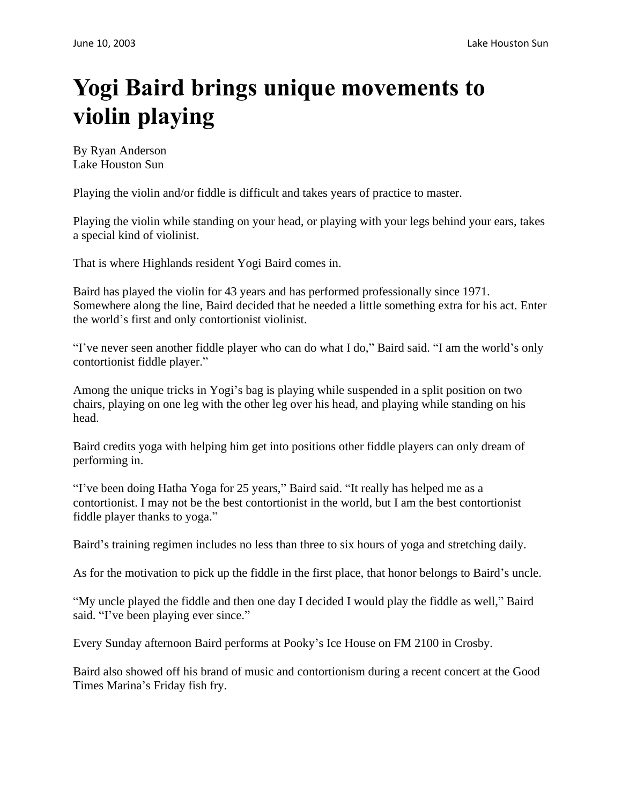## **Yogi Baird brings unique movements to violin playing**

By Ryan Anderson Lake Houston Sun

Playing the violin and/or fiddle is difficult and takes years of practice to master.

Playing the violin while standing on your head, or playing with your legs behind your ears, takes a special kind of violinist.

That is where Highlands resident Yogi Baird comes in.

Baird has played the violin for 43 years and has performed professionally since 1971. Somewhere along the line, Baird decided that he needed a little something extra for his act. Enter the world's first and only contortionist violinist.

"I've never seen another fiddle player who can do what I do," Baird said. "I am the world's only contortionist fiddle player."

Among the unique tricks in Yogi's bag is playing while suspended in a split position on two chairs, playing on one leg with the other leg over his head, and playing while standing on his head.

Baird credits yoga with helping him get into positions other fiddle players can only dream of performing in.

"I've been doing Hatha Yoga for 25 years," Baird said. "It really has helped me as a contortionist. I may not be the best contortionist in the world, but I am the best contortionist fiddle player thanks to yoga."

Baird's training regimen includes no less than three to six hours of yoga and stretching daily.

As for the motivation to pick up the fiddle in the first place, that honor belongs to Baird's uncle.

"My uncle played the fiddle and then one day I decided I would play the fiddle as well," Baird said. "I've been playing ever since."

Every Sunday afternoon Baird performs at Pooky's Ice House on FM 2100 in Crosby.

Baird also showed off his brand of music and contortionism during a recent concert at the Good Times Marina's Friday fish fry.